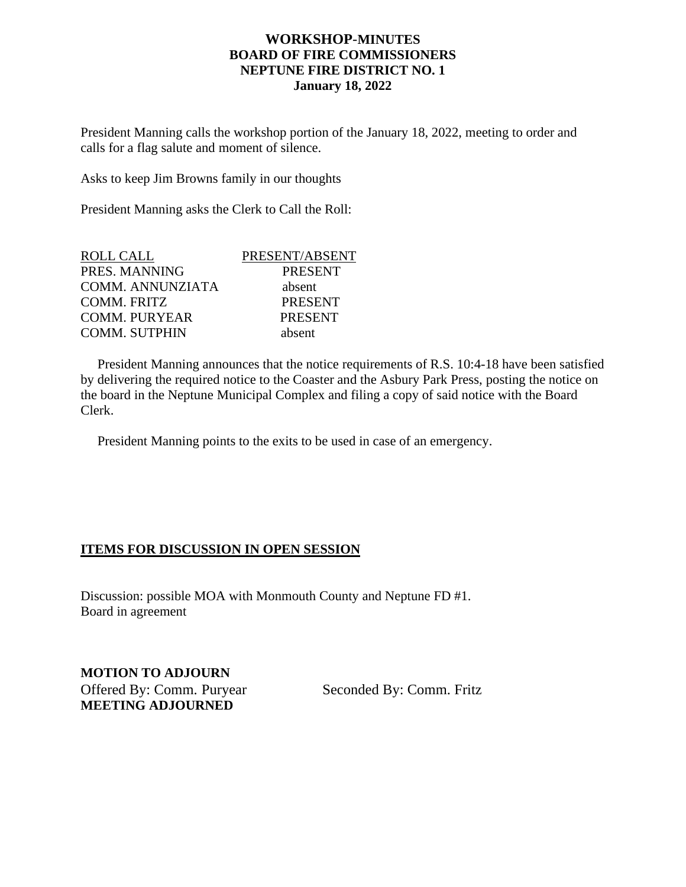## **WORKSHOP**-**MINUTES BOARD OF FIRE COMMISSIONERS NEPTUNE FIRE DISTRICT NO. 1 January 18, 2022**

President Manning calls the workshop portion of the January 18, 2022, meeting to order and calls for a flag salute and moment of silence.

Asks to keep Jim Browns family in our thoughts

President Manning asks the Clerk to Call the Roll:

| <b>ROLL CALL</b>        | PRESENT/ABSENT |
|-------------------------|----------------|
| PRES. MANNING           | <b>PRESENT</b> |
| <b>COMM. ANNUNZIATA</b> | absent         |
| COMM. FRITZ             | <b>PRESENT</b> |
| <b>COMM. PURYEAR</b>    | <b>PRESENT</b> |
| <b>COMM. SUTPHIN</b>    | absent         |

 President Manning announces that the notice requirements of R.S. 10:4-18 have been satisfied by delivering the required notice to the Coaster and the Asbury Park Press, posting the notice on the board in the Neptune Municipal Complex and filing a copy of said notice with the Board Clerk.

President Manning points to the exits to be used in case of an emergency.

## **ITEMS FOR DISCUSSION IN OPEN SESSION**

Discussion: possible MOA with Monmouth County and Neptune FD #1. Board in agreement

**MOTION TO ADJOURN**  Offered By: Comm. Puryear Seconded By: Comm. Fritz **MEETING ADJOURNED**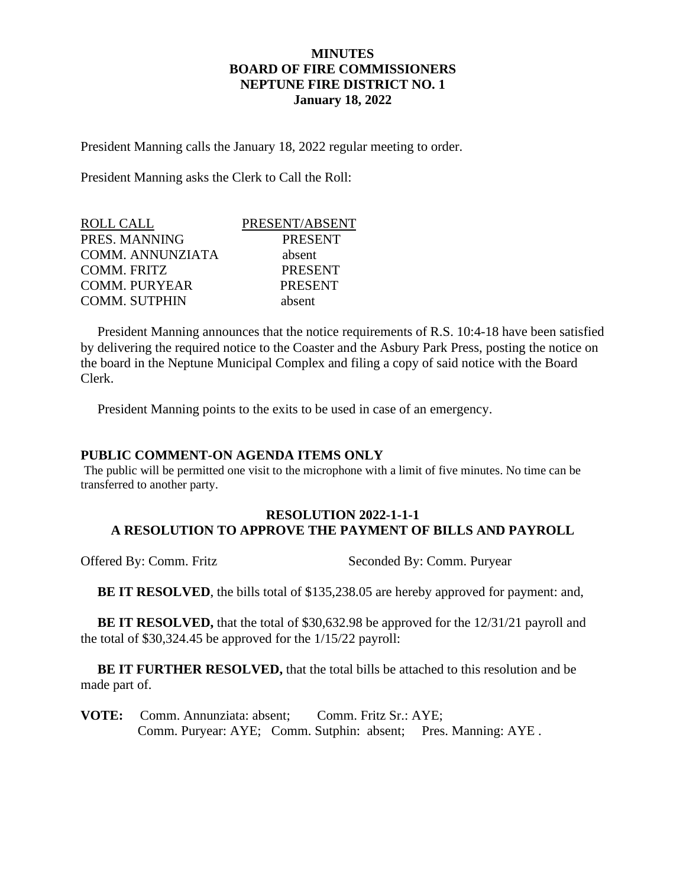## **MINUTES BOARD OF FIRE COMMISSIONERS NEPTUNE FIRE DISTRICT NO. 1 January 18, 2022**

President Manning calls the January 18, 2022 regular meeting to order.

President Manning asks the Clerk to Call the Roll:

| <b>ROLL CALL</b>        | PRESENT/ABSENT |
|-------------------------|----------------|
| PRES. MANNING           | <b>PRESENT</b> |
| <b>COMM. ANNUNZIATA</b> | absent         |
| COMM. FRITZ             | <b>PRESENT</b> |
| <b>COMM. PURYEAR</b>    | <b>PRESENT</b> |
| <b>COMM. SUTPHIN</b>    | absent         |

 President Manning announces that the notice requirements of R.S. 10:4-18 have been satisfied by delivering the required notice to the Coaster and the Asbury Park Press, posting the notice on the board in the Neptune Municipal Complex and filing a copy of said notice with the Board Clerk.

President Manning points to the exits to be used in case of an emergency.

## **PUBLIC COMMENT-ON AGENDA ITEMS ONLY**

The public will be permitted one visit to the microphone with a limit of five minutes. No time can be transferred to another party.

## **RESOLUTION 2022-1-1-1 A RESOLUTION TO APPROVE THE PAYMENT OF BILLS AND PAYROLL**

Offered By: Comm. Fritz Seconded By: Comm. Puryear

**BE IT RESOLVED**, the bills total of \$135,238.05 are hereby approved for payment: and,

**BE IT RESOLVED,** that the total of \$30,632.98 be approved for the 12/31/21 payroll and the total of \$30,324.45 be approved for the 1/15/22 payroll:

 **BE IT FURTHER RESOLVED,** that the total bills be attached to this resolution and be made part of.

**VOTE:** Comm. Annunziata: absent; Comm. Fritz Sr.: AYE; Comm. Puryear: AYE; Comm. Sutphin: absent; Pres. Manning: AYE .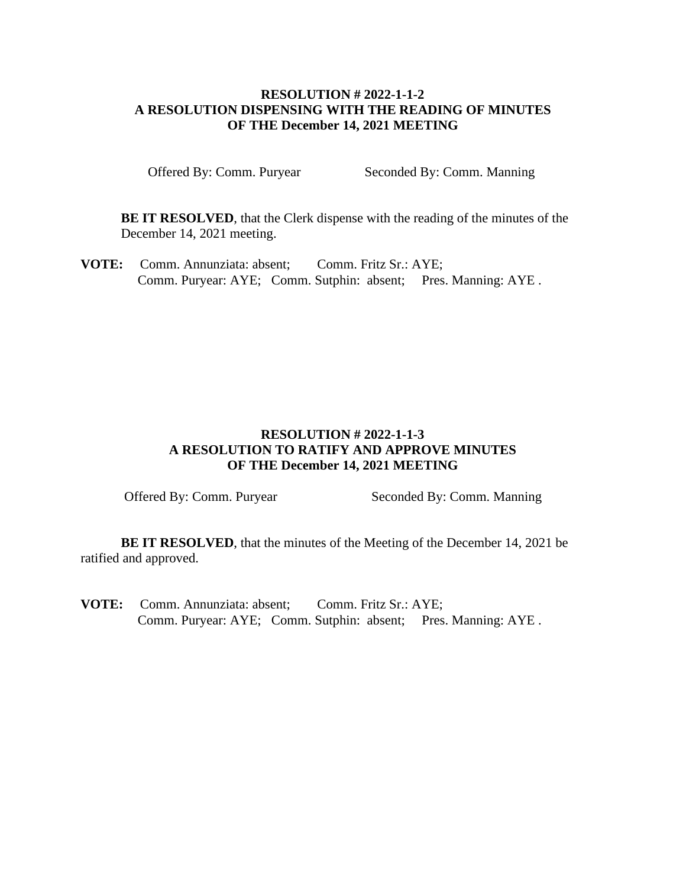## **RESOLUTION # 2022-1-1-2 A RESOLUTION DISPENSING WITH THE READING OF MINUTES OF THE December 14, 2021 MEETING**

Offered By: Comm. Puryear Seconded By: Comm. Manning

**BE IT RESOLVED**, that the Clerk dispense with the reading of the minutes of the December 14, 2021 meeting.

**VOTE:** Comm. Annunziata: absent; Comm. Fritz Sr.: AYE; Comm. Puryear: AYE; Comm. Sutphin: absent; Pres. Manning: AYE .

# **RESOLUTION # 2022-1-1-3 A RESOLUTION TO RATIFY AND APPROVE MINUTES OF THE December 14, 2021 MEETING**

Offered By: Comm. Puryear Seconded By: Comm. Manning

**BE IT RESOLVED**, that the minutes of the Meeting of the December 14, 2021 be ratified and approved.

**VOTE:** Comm. Annunziata: absent; Comm. Fritz Sr.: AYE; Comm. Puryear: AYE; Comm. Sutphin: absent; Pres. Manning: AYE .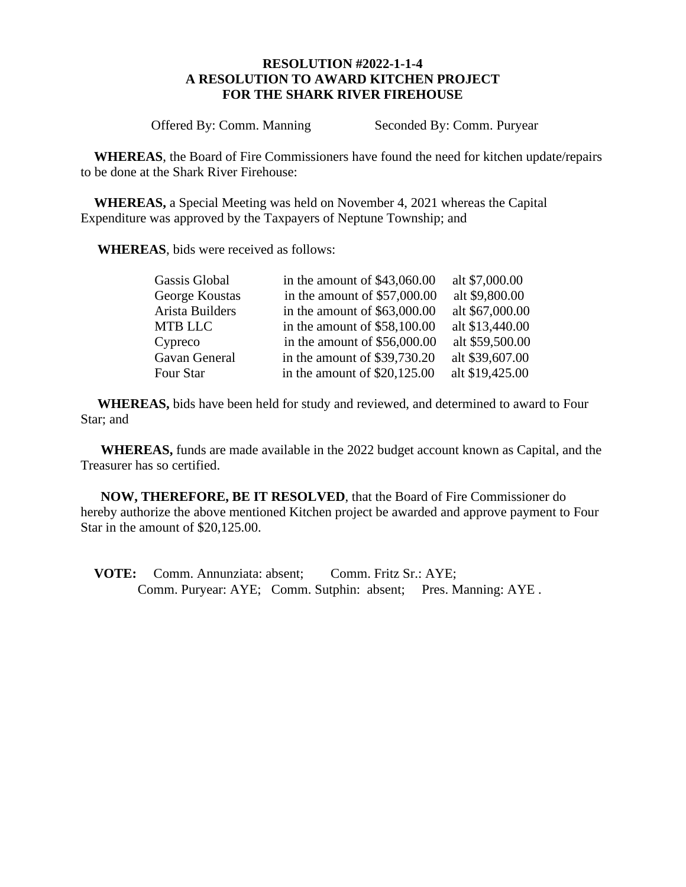## **RESOLUTION #2022-1-1-4 A RESOLUTION TO AWARD KITCHEN PROJECT FOR THE SHARK RIVER FIREHOUSE**

Offered By: Comm. Manning Seconded By: Comm. Puryear

 **WHEREAS**, the Board of Fire Commissioners have found the need for kitchen update/repairs to be done at the Shark River Firehouse:

 **WHEREAS,** a Special Meeting was held on November 4, 2021 whereas the Capital Expenditure was approved by the Taxpayers of Neptune Township; and

**WHEREAS**, bids were received as follows:

| Gassis Global   | in the amount of $$43,060.00$ | alt \$7,000.00  |
|-----------------|-------------------------------|-----------------|
| George Koustas  | in the amount of $$57,000.00$ | alt \$9,800.00  |
| Arista Builders | in the amount of $$63,000.00$ | alt \$67,000.00 |
| MTB LLC         | in the amount of $$58,100.00$ | alt \$13,440.00 |
| Cypreco         | in the amount of $$56,000.00$ | alt \$59,500.00 |
| Gavan General   | in the amount of $$39,730.20$ | alt \$39,607.00 |
| Four Star       | in the amount of $$20,125.00$ | alt \$19,425.00 |

 **WHEREAS,** bids have been held for study and reviewed, and determined to award to Four Star; and

 **WHEREAS,** funds are made available in the 2022 budget account known as Capital, and the Treasurer has so certified.

 **NOW, THEREFORE, BE IT RESOLVED**, that the Board of Fire Commissioner do hereby authorize the above mentioned Kitchen project be awarded and approve payment to Four Star in the amount of \$20,125.00.

 **VOTE:** Comm. Annunziata: absent; Comm. Fritz Sr.: AYE; Comm. Puryear: AYE; Comm. Sutphin: absent; Pres. Manning: AYE .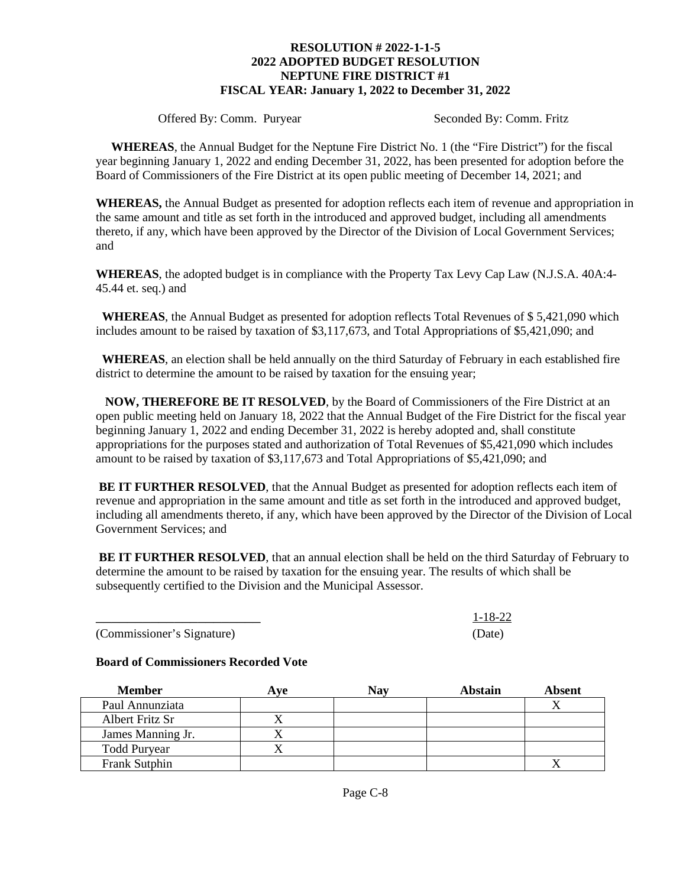#### **RESOLUTION # 2022-1-1-5 2022 ADOPTED BUDGET RESOLUTION NEPTUNE FIRE DISTRICT #1 FISCAL YEAR: January 1, 2022 to December 31, 2022**

Offered By: Comm. Puryear Seconded By: Comm. Fritz

 **WHEREAS**, the Annual Budget for the Neptune Fire District No. 1 (the "Fire District") for the fiscal year beginning January 1, 2022 and ending December 31, 2022, has been presented for adoption before the Board of Commissioners of the Fire District at its open public meeting of December 14, 2021; and

**WHEREAS,** the Annual Budget as presented for adoption reflects each item of revenue and appropriation in the same amount and title as set forth in the introduced and approved budget, including all amendments thereto, if any, which have been approved by the Director of the Division of Local Government Services; and

**WHEREAS**, the adopted budget is in compliance with the Property Tax Levy Cap Law (N.J.S.A. 40A:4- 45.44 et. seq.) and

 **WHEREAS**, the Annual Budget as presented for adoption reflects Total Revenues of \$ 5,421,090 which includes amount to be raised by taxation of \$3,117,673, and Total Appropriations of \$5,421,090; and

 **WHEREAS**, an election shall be held annually on the third Saturday of February in each established fire district to determine the amount to be raised by taxation for the ensuing year;

 **NOW, THEREFORE BE IT RESOLVED**, by the Board of Commissioners of the Fire District at an open public meeting held on January 18, 2022 that the Annual Budget of the Fire District for the fiscal year beginning January 1, 2022 and ending December 31, 2022 is hereby adopted and, shall constitute appropriations for the purposes stated and authorization of Total Revenues of \$5,421,090 which includes amount to be raised by taxation of \$3,117,673 and Total Appropriations of \$5,421,090; and

**BE IT FURTHER RESOLVED**, that the Annual Budget as presented for adoption reflects each item of revenue and appropriation in the same amount and title as set forth in the introduced and approved budget, including all amendments thereto, if any, which have been approved by the Director of the Division of Local Government Services; and

**BE IT FURTHER RESOLVED**, that an annual election shall be held on the third Saturday of February to determine the amount to be raised by taxation for the ensuing year. The results of which shall be subsequently certified to the Division and the Municipal Assessor.

(Commissioner's Signature) (Date)

## **Board of Commissioners Recorded Vote**

| <b>Member</b>       | Ave | Nay | Abstain | Absent |
|---------------------|-----|-----|---------|--------|
| Paul Annunziata     |     |     |         |        |
| Albert Fritz Sr     |     |     |         |        |
| James Manning Jr.   |     |     |         |        |
| <b>Todd Puryear</b> |     |     |         |        |
| Frank Sutphin       |     |     |         |        |

*\_\_\_\_\_\_\_\_\_\_\_\_\_\_\_\_\_\_\_\_\_* 1-18-22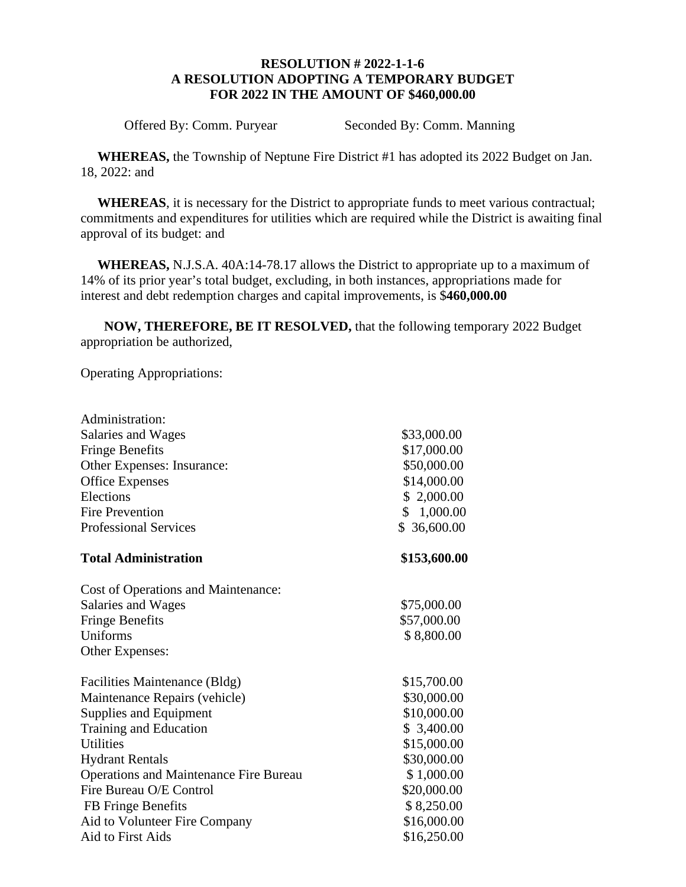# **RESOLUTION # 2022-1-1-6 A RESOLUTION ADOPTING A TEMPORARY BUDGET FOR 2022 IN THE AMOUNT OF \$460,000.00**

Offered By: Comm. Puryear Seconded By: Comm. Manning

 **WHEREAS,** the Township of Neptune Fire District #1 has adopted its 2022 Budget on Jan. 18, 2022: and

 **WHEREAS**, it is necessary for the District to appropriate funds to meet various contractual; commitments and expenditures for utilities which are required while the District is awaiting final approval of its budget: and

 **WHEREAS,** N.J.S.A. 40A:14-78.17 allows the District to appropriate up to a maximum of 14% of its prior year's total budget, excluding, in both instances, appropriations made for interest and debt redemption charges and capital improvements, is \$**460,000.00**

 **NOW, THEREFORE, BE IT RESOLVED,** that the following temporary 2022 Budget appropriation be authorized,

Operating Appropriations:

Administration:

| Salaries and Wages                            | \$33,000.00  |
|-----------------------------------------------|--------------|
| <b>Fringe Benefits</b>                        | \$17,000.00  |
| Other Expenses: Insurance:                    | \$50,000.00  |
| <b>Office Expenses</b>                        | \$14,000.00  |
| Elections                                     | \$2,000.00   |
| <b>Fire Prevention</b>                        | \$1,000.00   |
| <b>Professional Services</b>                  | \$36,600.00  |
| <b>Total Administration</b>                   | \$153,600.00 |
| Cost of Operations and Maintenance:           |              |
| Salaries and Wages                            | \$75,000.00  |
| <b>Fringe Benefits</b>                        | \$57,000.00  |
| Uniforms                                      | \$8,800.00   |
| Other Expenses:                               |              |
| Facilities Maintenance (Bldg)                 | \$15,700.00  |
| Maintenance Repairs (vehicle)                 | \$30,000.00  |
| Supplies and Equipment                        | \$10,000.00  |
| Training and Education                        | \$3,400.00   |
| <b>Utilities</b>                              | \$15,000.00  |
| <b>Hydrant Rentals</b>                        | \$30,000.00  |
| <b>Operations and Maintenance Fire Bureau</b> | \$1,000.00   |
| Fire Bureau O/E Control                       | \$20,000.00  |
| FB Fringe Benefits                            | \$8,250.00   |
| Aid to Volunteer Fire Company                 | \$16,000.00  |
| Aid to First Aids                             | \$16,250.00  |
|                                               |              |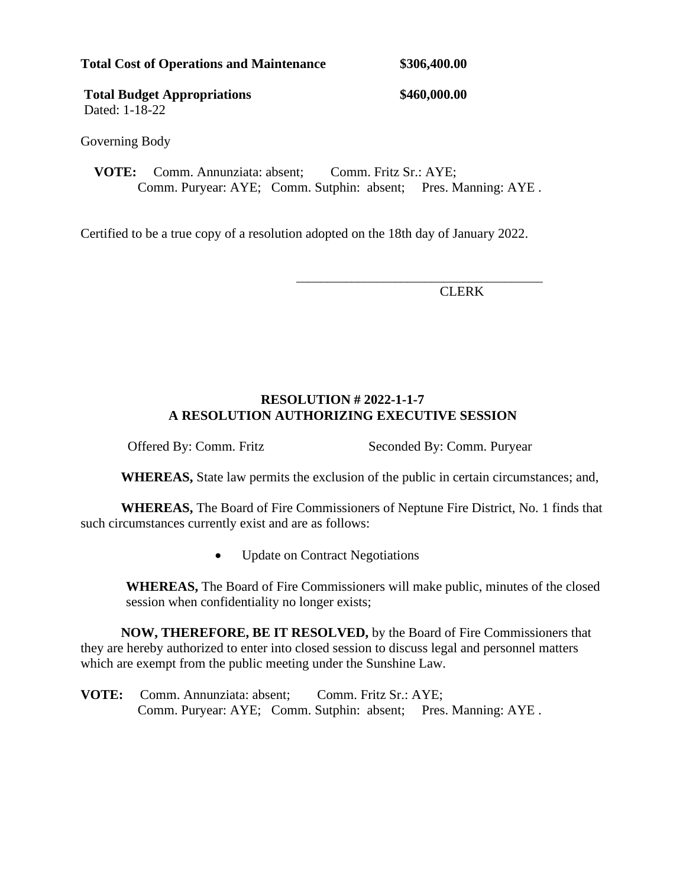|  |  |  |  | <b>Total Cost of Operations and Maintenance</b> |  |  |
|--|--|--|--|-------------------------------------------------|--|--|
|--|--|--|--|-------------------------------------------------|--|--|

**\$306,400.00** 

Total Budget Appropriations  $$460,000.00$ Dated: 1-18-22

Governing Body

**VOTE:** Comm. Annunziata: absent: Comm. Fritz Sr.: AYE: Comm. Puryear: AYE; Comm. Sutphin: absent; Pres. Manning: AYE .

Certified to be a true copy of a resolution adopted on the 18th day of January 2022.

 $\overline{\phantom{a}}$  , and the contract of the contract of the contract of the contract of the contract of the contract of the contract of the contract of the contract of the contract of the contract of the contract of the contrac

CLERK

# **RESOLUTION # 2022-1-1-7 A RESOLUTION AUTHORIZING EXECUTIVE SESSION**

Offered By: Comm. Fritz Seconded By: Comm. Puryear

**WHEREAS,** State law permits the exclusion of the public in certain circumstances; and,

**WHEREAS,** The Board of Fire Commissioners of Neptune Fire District, No. 1 finds that such circumstances currently exist and are as follows:

• Update on Contract Negotiations

**WHEREAS,** The Board of Fire Commissioners will make public, minutes of the closed session when confidentiality no longer exists;

**NOW, THEREFORE, BE IT RESOLVED,** by the Board of Fire Commissioners that they are hereby authorized to enter into closed session to discuss legal and personnel matters which are exempt from the public meeting under the Sunshine Law.

**VOTE:** Comm. Annunziata: absent: Comm. Fritz Sr.: AYE: Comm. Puryear: AYE; Comm. Sutphin: absent; Pres. Manning: AYE .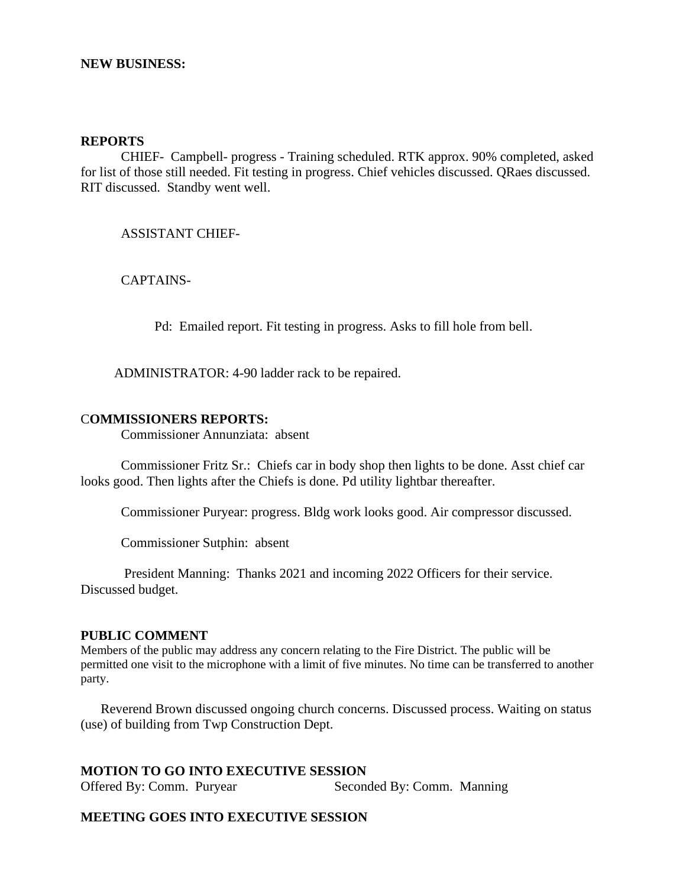### **NEW BUSINESS:**

#### **REPORTS**

CHIEF- Campbell- progress - Training scheduled. RTK approx. 90% completed, asked for list of those still needed. Fit testing in progress. Chief vehicles discussed. QRaes discussed. RIT discussed. Standby went well.

ASSISTANT CHIEF-

CAPTAINS-

Pd: Emailed report. Fit testing in progress. Asks to fill hole from bell.

ADMINISTRATOR: 4-90 ladder rack to be repaired.

### C**OMMISSIONERS REPORTS:**

Commissioner Annunziata: absent

 Commissioner Fritz Sr.: Chiefs car in body shop then lights to be done. Asst chief car looks good. Then lights after the Chiefs is done. Pd utility lightbar thereafter.

Commissioner Puryear: progress. Bldg work looks good. Air compressor discussed.

Commissioner Sutphin: absent

 President Manning: Thanks 2021 and incoming 2022 Officers for their service. Discussed budget.

### **PUBLIC COMMENT**

Members of the public may address any concern relating to the Fire District. The public will be permitted one visit to the microphone with a limit of five minutes. No time can be transferred to another party.

Reverend Brown discussed ongoing church concerns. Discussed process. Waiting on status (use) of building from Twp Construction Dept.

### **MOTION TO GO INTO EXECUTIVE SESSION**

Offered By: Comm. Puryear Seconded By: Comm. Manning

#### **MEETING GOES INTO EXECUTIVE SESSION**